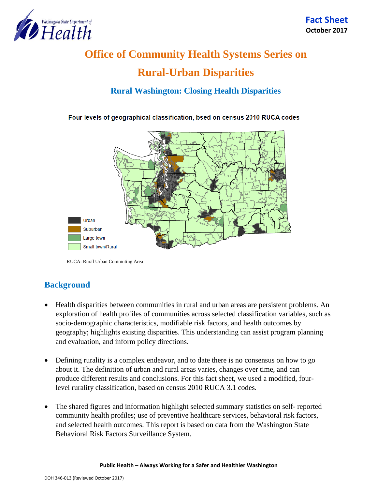

# **Office of Community Health Systems Series on Rural-Urban Disparities**

# **Rural Washington: Closing Health Disparities**

Four levels of geographical classification, bsed on census 2010 RUCA codes



RUCA: Rural Urban Commuting Area

# **Background**

- Health disparities between communities in rural and urban areas are persistent problems. An exploration of health profiles of communities across selected classification variables, such as socio-demographic characteristics, modifiable risk factors, and health outcomes by geography; highlights existing disparities. This understanding can assist program planning and evaluation, and inform policy directions.
- Defining rurality is a complex endeavor, and to date there is no consensus on how to go about it. The definition of urban and rural areas varies, changes over time, and can produce different results and conclusions. For this fact sheet, we used a modified, fourlevel rurality classification, based on census 2010 RUCA 3.1 codes.
- The shared figures and information highlight selected summary statistics on self- reported community health profiles; use of preventive healthcare services, behavioral risk factors, and selected health outcomes. This report is based on data from the Washington State Behavioral Risk Factors Surveillance System.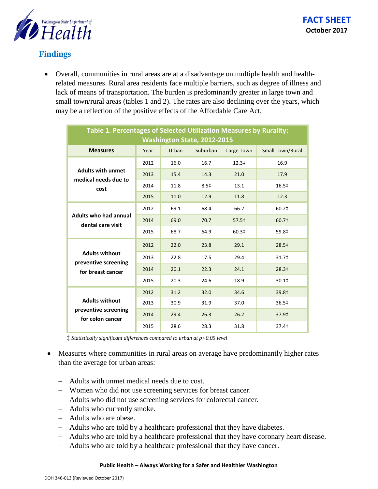

### **Findings**

 Overall, communities in rural areas are at a disadvantage on multiple health and healthrelated measures. Rural area residents face multiple barriers, such as degree of illness and lack of means of transportation. The burden is predominantly greater in large town and small town/rural areas (tables 1 and 2). The rates are also declining over the years, which may be a reflection of the positive effects of the Affordable Care Act.

| Table 1. Percentages of Selected Utilization Measures by Rurality:<br><b>Washington State, 2012-2015</b> |      |       |                  |                   |                         |  |  |  |
|----------------------------------------------------------------------------------------------------------|------|-------|------------------|-------------------|-------------------------|--|--|--|
| <b>Measures</b>                                                                                          | Year | Urban | Suburban         | Large Town        | <b>Small Town/Rural</b> |  |  |  |
| <b>Adults with unmet</b><br>medical needs due to<br>cost                                                 | 2012 | 16.0  | 16.7             | 12.3 <sup>‡</sup> | 16.9                    |  |  |  |
|                                                                                                          | 2013 | 15.4  | 14.3             | 21.0              | 17.9                    |  |  |  |
|                                                                                                          | 2014 | 11.8  | 8.5 <sup>‡</sup> | 13.1              | 16.5‡                   |  |  |  |
|                                                                                                          | 2015 | 11.0  | 12.9             | 11.8              | 12.3                    |  |  |  |
| <b>Adults who had annual</b><br>dental care visit                                                        | 2012 | 69.1  | 68.4             | 66.2              | 60.2 <sup>‡</sup>       |  |  |  |
|                                                                                                          | 2014 | 69.0  | 70.7             | 57.5 <sup>‡</sup> | 60.7‡                   |  |  |  |
|                                                                                                          | 2015 | 68.7  | 64.9             | 60.3‡             | 59.8‡                   |  |  |  |
| <b>Adults without</b><br>preventive screening<br>for breast cancer                                       | 2012 | 22.0  | 23.8             | 29.1              | 28.5‡                   |  |  |  |
|                                                                                                          | 2013 | 22.8  | 17.5             | 29.4              | 31.7‡                   |  |  |  |
|                                                                                                          | 2014 | 20.1  | 22.3             | 24.1              | 28.3 <sup>‡</sup>       |  |  |  |
|                                                                                                          | 2015 | 20.3  | 24.6             | 18.9              | 30.1‡                   |  |  |  |
| <b>Adults without</b><br>preventive screening<br>for colon cancer                                        | 2012 | 31.2  | 32.0             | 34.6              | 39.8‡                   |  |  |  |
|                                                                                                          | 2013 | 30.9  | 31.9             | 37.0              | 36.5‡                   |  |  |  |
|                                                                                                          | 2014 | 29.4  | 26.3             | 26.2              | 37.9‡                   |  |  |  |
|                                                                                                          | 2015 | 28.6  | 28.3             | 31.8              | 37.4‡                   |  |  |  |

‡ *Statistically significant differences compared to urban at p<0.05 level*

- Measures where communities in rural areas on average have predominantly higher rates than the average for urban areas:
	- Adults with unmet medical needs due to cost.
	- Women who did not use screening services for breast cancer.
	- Adults who did not use screening services for colorectal cancer.
	- Adults who currently smoke.
	- Adults who are obese.
	- Adults who are told by a healthcare professional that they have diabetes.
	- Adults who are told by a healthcare professional that they have coronary heart disease.
	- Adults who are told by a healthcare professional that they have cancer.

#### **Public Health – Always Working for a Safer and Healthier Washington**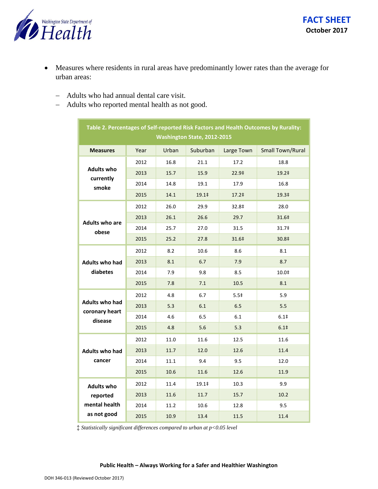

- Measures where residents in rural areas have predominantly lower rates than the average for urban areas:
	- Adults who had annual dental care visit.
	- Adults who reported mental health as not good.

| Table 2. Percentages of Self-reported Risk Factors and Health Outcomes by Rurality:<br>Washington State, 2012-2015 |      |       |                   |                   |                         |  |  |  |  |
|--------------------------------------------------------------------------------------------------------------------|------|-------|-------------------|-------------------|-------------------------|--|--|--|--|
| <b>Measures</b>                                                                                                    | Year | Urban | Suburban          | Large Town        | <b>Small Town/Rural</b> |  |  |  |  |
| <b>Adults who</b><br>currently<br>smoke                                                                            | 2012 | 16.8  | 21.1              | 17.2              | 18.8                    |  |  |  |  |
|                                                                                                                    | 2013 | 15.7  | 15.9              | 22.9‡             | 19.2‡                   |  |  |  |  |
|                                                                                                                    | 2014 | 14.8  | 19.1              | 17.9              | 16.8                    |  |  |  |  |
|                                                                                                                    | 2015 | 14.1  | 19.1 <sup>‡</sup> | 17.2 <sup>‡</sup> | 19.3‡                   |  |  |  |  |
| <b>Adults who are</b><br>obese                                                                                     | 2012 | 26.0  | 29.9              | 32.8‡             | 28.0                    |  |  |  |  |
|                                                                                                                    | 2013 | 26.1  | 26.6              | 29.7              | 31.6‡                   |  |  |  |  |
|                                                                                                                    | 2014 | 25.7  | 27.0              | 31.5              | 31.7‡                   |  |  |  |  |
|                                                                                                                    | 2015 | 25.2  | 27.8              | 31.6‡             | 30.8‡                   |  |  |  |  |
| <b>Adults who had</b><br>diabetes                                                                                  | 2012 | 8.2   | 10.6              | 8.6               | 8.1                     |  |  |  |  |
|                                                                                                                    | 2013 | 8.1   | 6.7               | 7.9               | 8.7                     |  |  |  |  |
|                                                                                                                    | 2014 | 7.9   | 9.8               | 8.5               | 10.0‡                   |  |  |  |  |
|                                                                                                                    | 2015 | 7.8   | 7.1               | 10.5              | 8.1                     |  |  |  |  |
| <b>Adults who had</b><br>coronary heart<br>disease                                                                 | 2012 | 4.8   | 6.7               | 5.5 <sup>‡</sup>  | 5.9                     |  |  |  |  |
|                                                                                                                    | 2013 | 5.3   | 6.1               | 6.5               | 5.5                     |  |  |  |  |
|                                                                                                                    | 2014 | 4.6   | 6.5               | 6.1               | 6.1 <sup>‡</sup>        |  |  |  |  |
|                                                                                                                    | 2015 | 4.8   | 5.6               | 5.3               | 6.1 <sup>‡</sup>        |  |  |  |  |
| <b>Adults who had</b><br>cancer                                                                                    | 2012 | 11.0  | 11.6              | 12.5              | 11.6                    |  |  |  |  |
|                                                                                                                    | 2013 | 11.7  | 12.0              | 12.6              | 11.4                    |  |  |  |  |
|                                                                                                                    | 2014 | 11.1  | 9.4               | 9.5               | 12.0                    |  |  |  |  |
|                                                                                                                    | 2015 | 10.6  | 11.6              | 12.6              | 11.9                    |  |  |  |  |
| <b>Adults who</b><br>reported<br>mental health<br>as not good                                                      | 2012 | 11.4  | 19.1‡             | 10.3              | 9.9                     |  |  |  |  |
|                                                                                                                    | 2013 | 11.6  | 11.7              | 15.7              | 10.2                    |  |  |  |  |
|                                                                                                                    | 2014 | 11.2  | 10.6              | 12.8              | 9.5                     |  |  |  |  |
|                                                                                                                    | 2015 | 10.9  | 13.4              | 11.5              | 11.4                    |  |  |  |  |

‡ *Statistically significant differences compared to urban at p<0.05 level*